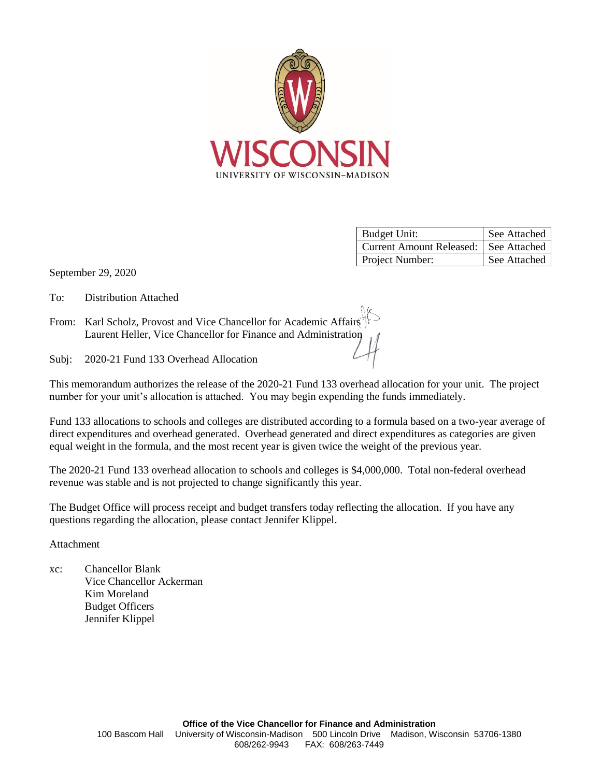

| <b>Budget Unit:</b>             | See Attached |
|---------------------------------|--------------|
| <b>Current Amount Released:</b> | See Attached |
| Project Number:                 | See Attached |

September 29, 2020

To: Distribution Attached

From: Karl Scholz, Provost and Vice Chancellor for Academic Affairs Laurent Heller, Vice Chancellor for Finance and Administration

Subj: 2020-21 Fund 133 Overhead Allocation

This memorandum authorizes the release of the 2020-21 Fund 133 overhead allocation for your unit. The project number for your unit's allocation is attached. You may begin expending the funds immediately.

Fund 133 allocations to schools and colleges are distributed according to a formula based on a two-year average of direct expenditures and overhead generated. Overhead generated and direct expenditures as categories are given equal weight in the formula, and the most recent year is given twice the weight of the previous year.

The 2020-21 Fund 133 overhead allocation to schools and colleges is \$4,000,000. Total non-federal overhead revenue was stable and is not projected to change significantly this year.

The Budget Office will process receipt and budget transfers today reflecting the allocation. If you have any questions regarding the allocation, please contact Jennifer Klippel.

Attachment

xc: Chancellor Blank Vice Chancellor Ackerman Kim Moreland Budget Officers Jennifer Klippel